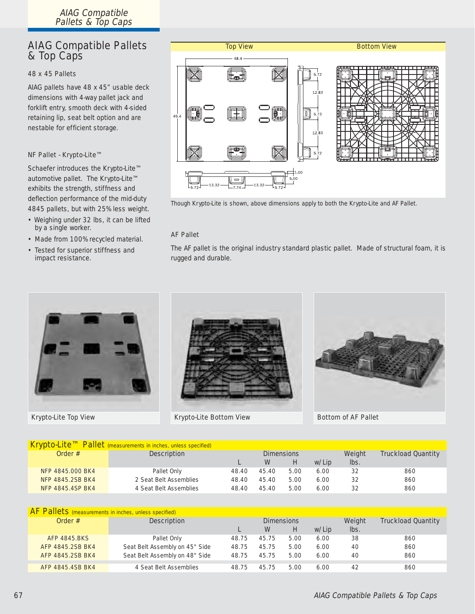## AIAG Compatible Pallets & Top Caps

#### 48 x 45 Pallets

AIAG pallets have 48 x 45" usable deck dimensions with 4-way pallet jack and forklift entry, smooth deck with 4-sided retaining lip, seat belt option and are nestable for efficient storage.

### NF Pallet - Krypto-Lite™

Schaefer introduces the Krypto-Lite™ automotive pallet. The Krypto-Lite™ exhibits the strength, stiffness and deflection performance of the mid-duty 4845 pallets, but with 25% less weight.

- Weighing under 32 lbs, it can be lifted by a single worker.
- Made from 100% recycled material.
- Tested for superior stiffness and impact resistance.



Though Krypto-Lite is shown, above dimensions apply to both the Krypto-Lite and AF Pallet.

## AF Pallet

The AF pallet is the original industry standard plastic pallet. Made of structural foam, it is rugged and durable.





Krypto-Lite Top View **Krypto-Lite Bottom View** 



Bottom of AF Pallet

| Krypto-Lite™ Pallet (measurements in inches, unless specified) |                        |                   |       |      |       |        |                           |  |  |
|----------------------------------------------------------------|------------------------|-------------------|-------|------|-------|--------|---------------------------|--|--|
| Order $#$                                                      | <b>Description</b>     | <b>Dimensions</b> |       |      |       | Weight | <b>Truckload Quantity</b> |  |  |
|                                                                |                        |                   | W     | Н    | w/Lip | lbs.   |                           |  |  |
| NFP 4845,000 BK4                                               | Pallet Only            | 48.40             | 45.40 | 5.00 | 6.00  | 32     | 860                       |  |  |
| <b>NFP 4845.2SB BK4</b>                                        | 2 Seat Belt Assemblies | 48.40             | 45.40 | 5.00 | 6.00  | 32     | 860                       |  |  |
| <b>NFP 4845.4SP BK4</b>                                        | 4 Seat Belt Assemblies | 48.40             | 45.40 | 5.00 | 6.00  | 32     | 860                       |  |  |
|                                                                |                        |                   |       |      |       |        |                           |  |  |

| <b>AF Pallets</b> (measurements in inches, unless specified) |                                |                   |       |      |       |        |                           |  |  |
|--------------------------------------------------------------|--------------------------------|-------------------|-------|------|-------|--------|---------------------------|--|--|
| Order $#$                                                    | <b>Description</b>             | <b>Dimensions</b> |       |      |       | Weight | <b>Truckload Quantity</b> |  |  |
|                                                              |                                |                   | W     | H    | w/Lip | lbs.   |                           |  |  |
| <b>AFP 4845.BKS</b>                                          | Pallet Only                    | 48.75             | 45.75 | 5.00 | 6.00  | 38     | 860                       |  |  |
| AFP 4845.2SB BK4                                             | Seat Belt Assembly on 45" Side | 48.75             | 45.75 | 5.00 | 6.00  | 40     | 860                       |  |  |
| AFP 4845.2SB BK4                                             | Seat Belt Assembly on 48" Side | 48.75             | 45.75 | 5.00 | 6.00  | 40     | 860                       |  |  |
| AFP 4845.4SB BK4                                             | 4 Seat Belt Assemblies         | 48.75             | 45.75 | 5.00 | 6.00  | 42     | 860                       |  |  |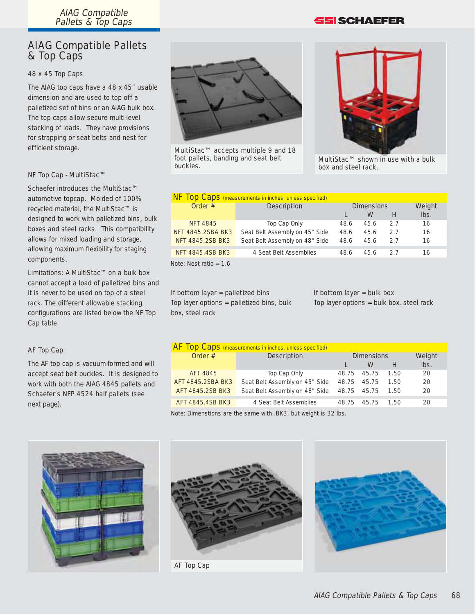AIAG Compatible Pallets & Top Caps

## AIAG Compatible Pallets & Top Caps

#### 48 x 45 Top Caps

The AIAG top caps have a 48 x 45" usable dimension and are used to top off a palletized set of bins or an AIAG bulk box. The top caps allow secure multi-level stacking of loads. They have provisions for strapping or seat belts and nest for efficient storage.

#### NF Top Cap - MultiStac™

Schaefer introduces the MultiStac™ automotive topcap. Molded of 100% recycled material, the MultiStac™ is designed to work with palletized bins, bulk boxes and steel racks. This compatibility allows for mixed loading and storage, allowing maximum flexibility for staging components.

Limitations: A MultiStac™ on a bulk box cannot accept a load of palletized bins and it is never to be used on top of a steel rack. The different allowable stacking configurations are listed below the NF Top Cap table.

#### AF Top Cap

The AF top cap is vacuum-formed and will accept seat belt buckles. It is designed to work with both the AIAG 4845 pallets and Schaefer's NFP 4524 half pallets (see next page).



MultiStac™ accepts multiple 9 and 18 foot pallets, banding and seat belt buckles.

## **SSI SCHAEFER**



MultiStac™ shown in use with a bulk box and steel rack.

| NF Top Caps (measurements in inches, unless specified) |                                |                   |      |     |        |  |  |  |  |
|--------------------------------------------------------|--------------------------------|-------------------|------|-----|--------|--|--|--|--|
| Order $#$                                              | <b>Description</b>             | <b>Dimensions</b> |      |     | Weight |  |  |  |  |
|                                                        |                                |                   | W    | H   | lbs.   |  |  |  |  |
| <b>NFT 4845</b>                                        | Top Cap Only                   | 48.6              | 45.6 | 2.7 | 16     |  |  |  |  |
| <b>NFT 4845.2SBA BK3</b>                               | Seat Belt Assembly on 45" Side | 48.6              | 45.6 | 2.7 | 16     |  |  |  |  |
| <b>NFT 4845.2SB BK3</b>                                | Seat Belt Assembly on 48" Side | 48.6              | 45.6 | 2.7 | 16     |  |  |  |  |
| <b>NFT 4845.4SB BK3</b>                                | 4 Seat Belt Assemblies         | 48.6              | 45.6 | 2.7 | 16     |  |  |  |  |
| Note: Nest ratio = $1.6$                               |                                |                   |      |     |        |  |  |  |  |

### If bottom layer = palletized bins

Top layer options = palletized bins, bulk box, steel rack

#### If bottom layer  $=$  bulk box

Top layer options = bulk box, steel rack

| <b>AF Top Caps</b> (measurements in inches, unless specified) |                                |                   |       |      |         |  |  |  |  |
|---------------------------------------------------------------|--------------------------------|-------------------|-------|------|---------|--|--|--|--|
| Order #                                                       | <b>Description</b>             | <b>Dimensions</b> |       |      | Weight  |  |  |  |  |
|                                                               |                                |                   | W     | H    | $lbs$ . |  |  |  |  |
| <b>AFT 4845</b>                                               | Top Cap Only                   | 48.75 45.75       |       | 1.50 | 20      |  |  |  |  |
| AFT 4845.2SBA BK3                                             | Seat Belt Assembly on 45" Side | 48.75             | 45.75 | 1.50 | 20      |  |  |  |  |
| AFT 4845.2SB BK3                                              | Seat Belt Assembly on 48" Side | 48.75             | 45.75 | 1.50 | 20      |  |  |  |  |
| AFT 4845.4SB BK3                                              | 4 Seat Belt Assemblies         | 48.75             | 45.75 | 1.50 | 20      |  |  |  |  |

Note: Dimenstions are the same with .BK3, but weight is 32 lbs.





AF Top Cap

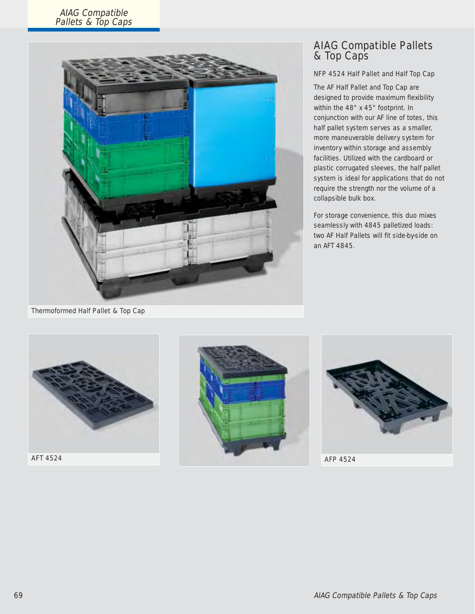### AIAG Compatible Pallets & Top Caps



## AIAG Compatible Pallets & Top Caps

### NFP 4524 Half Pallet and Half Top Cap

The AF Half Pallet and Top Cap are designed to provide maximum flexibility within the 48" x 45" footprint. In conjunction with our AF line of totes, this half pallet system serves as a smaller, more maneuverable delivery system for inventory within storage and assembly facilities. Utilized with the cardboard or plastic corrugated sleeves, the half pallet system is ideal for applications that do not require the strength nor the volume of a collapsible bulk box.

For storage convenience, this duo mixes seamlessly with 4845 palletized loads: two AF Half Pallets will fit side-by-side on an AFT 4845.

Thermoformed Half Pallet & Top Cap



AFT 4524





AFP 4524